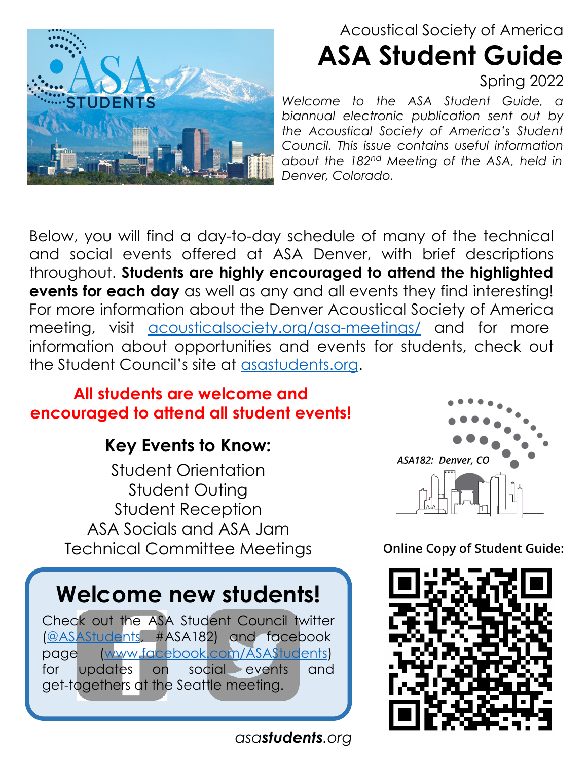

## Acoustical Society of America **ASA Student Guide** Spring 2022

*Welcome to the ASA Student Guide, a biannual electronic publication sent out by the Acoustical Society of America's Student Council. This issue contains useful information about the 182nd Meeting of the ASA, held in Denver, Colorado.*

Below, you will find a day-to-day schedule of many of the technical and social events offered at ASA Denver, with brief descriptions throughout. **Students are highly encouraged to attend the highlighted events for each day** as well as any and all events they find interesting! For more information about the Denver Acoustical Society of America meeting, visit [acousticalsociety.org/asa-meetings/](http://acousticalsociety.org/asa-meetings/) and for more information about opportunities and events for students, check out the Student Council's site at [asastudents.org.](http://asastudents.org)

### **All students are welcome and encouraged to attend all student events!**

## **Key Events to Know:**

Student Orientation Student Outing Student Reception ASA Socials and ASA Jam Technical Committee Meetings

## **Welcome new students!**

Check out the ASA Student Council twitter ([@ASAStudents](https://twitter.com/asastudents), #ASA182) and facebook page ([www.facebook.com/ASAStudents](http://www.facebook.com/ASAStudents)) for updates on social events and get-togethers at the Seattle meeting.

*asa[students](http://www.asastudents.org/).org*



**Online Copy of Student Guide:**

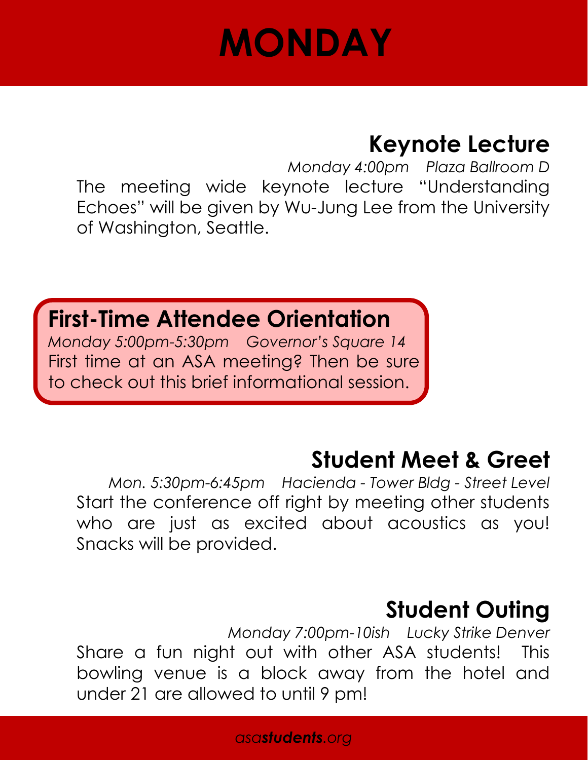# **MONDAY**

## **Keynote Lecture**

*Monday 4:00pm Plaza Ballroom D*  The meeting wide keynote lecture "Understanding Echoes" will be given by Wu-Jung Lee from the University of Washington, Seattle.

## **First-Time Attendee Orientation**

*Monday 5:00pm-5:30pm Governor's Square 14* First time at an ASA meeting? Then be sure to check out this brief informational session.

## **Student Meet & Greet**

*Mon. 5:30pm-6:45pm Hacienda - Tower Bldg - Street Level* Start the conference off right by meeting other students who are just as excited about acoustics as you! Snacks will be provided.

## **Student Outing**

*Monday 7:00pm-10ish Lucky Strike Denver* Share a fun night out with other ASA students! This bowling venue is a block away from the hotel and under 21 are allowed to until 9 pm!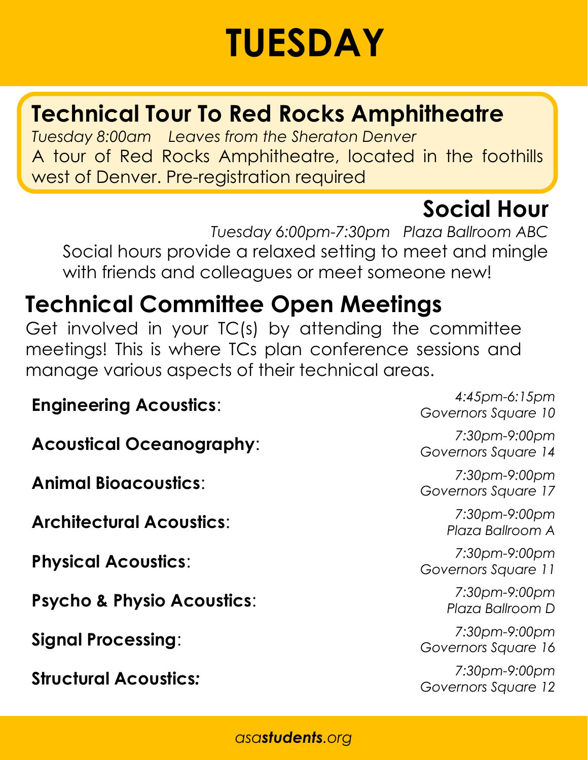# **TUESDAY**

# **Technical Tour To Red Rocks Amphitheatre**

*Tuesday 8:00am Leaves from the Sheraton Denver* A tour of Red Rocks Amphitheatre, located in the foothills west of Denver. Pre-registration required

# **Social Hour**

*Tuesday 6:00pm-7:30pm Plaza Ballroom ABC* Social hours provide a relaxed setting to meet and mingle with friends and colleagues or meet someone new!

# **Technical Committee Open Meetings**

Get involved in your TC(s) by attending the committee meetings! This is where TCs plan conference sessions and manage various aspects of their technical areas.

## **Engineering Acoustics**: *4:45pm-6:15pm*

**Acoustical Oceanography**:

**Animal Bioacoustics**:

**Architectural Acoustics**:

**Physical Acoustics**:

**Psycho & Physio Acoustics**:

**Signal Processing**:

**Structural Acoustics***:*

*Governors Square 10*

*7:30pm-9:00pm Governors Square 14*

*7:30pm-9:00pm Governors Square 17*

> *7:30pm-9:00pm Plaza Ballroom A*

*7:30pm-9:00pm Governors Square 11*

> *7:30pm-9:00pm Plaza Ballroom D*

*7:30pm-9:00pm Governors Square 16*

*7:30pm-9:00pm Governors Square 12*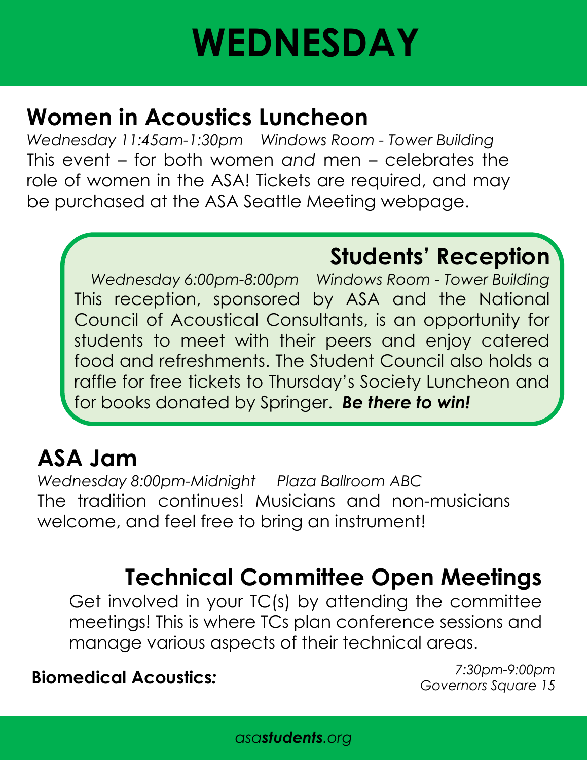# **WEDNESDAY**

## **Women in Acoustics Luncheon**

*Wednesday 11:45am-1:30pm Windows Room - Tower Building* This event – for both women *and* men – celebrates the role of women in the ASA! Tickets are required, and may be purchased at the [ASA Seattle Meeting webpage.](http://www.acousticalsociety.org/asa-meetings/)

## **Students' Reception**

*Wednesday 6:00pm-8:00pm Windows Room - Tower Building* This reception, sponsored by ASA and the National Council of Acoustical Consultants, is an opportunity for students to meet with their peers and enjoy catered food and refreshments. The Student Council also holds a raffle for free tickets to Thursday's Society Luncheon and for books donated by Springer. *Be there to win!* 

## **ASA Jam**

*Wednesday 8:00pm-Midnight Plaza Ballroom ABC* The tradition continues! Musicians and non-musicians welcome, and feel free to bring an instrument!

# **Technical Committee Open Meetings**

Get involved in your TC(s) by attending the committee meetings! This is where TCs plan conference sessions and manage various aspects of their technical areas.

### **Biomedical Acoustics***:*

*7:30pm-9:00pm Governors Square 15*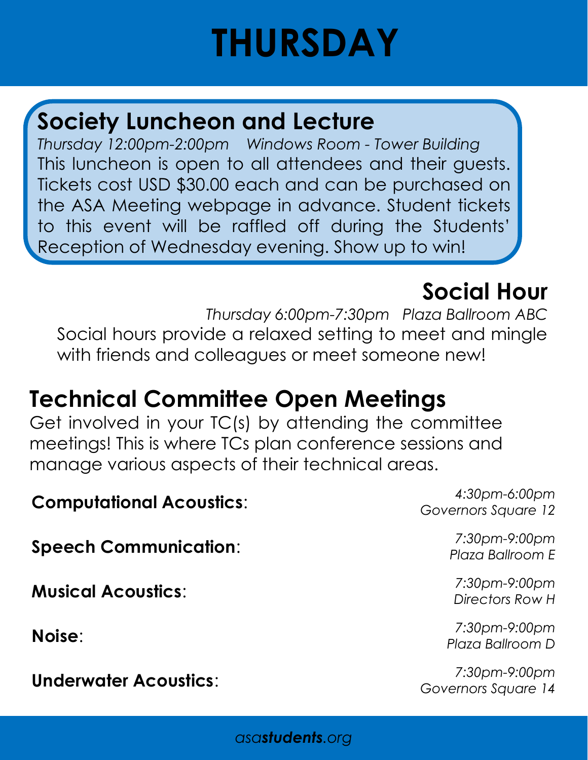# **THURSDAY**

## **Society Luncheon and Lecture**

*Thursday 12:00pm-2:00pm Windows Room - Tower Building* This luncheon is open to all attendees and their guests. Tickets cost USD \$30.00 each and can be purchased on the ASA Meeting webpage in advance. Student tickets to this event will be raffled off during the Students' Reception of Wednesday evening. Show up to win!

## **Social Hour**

*Thursday 6:00pm-7:30pm Plaza Ballroom ABC* Social hours provide a relaxed setting to meet and mingle with friends and colleagues or meet someone new!

## **Technical Committee Open Meetings**

Get involved in your TC(s) by attending the committee meetings! This is where TCs plan conference sessions and manage various aspects of their technical areas.

## **Computational Acoustics**: *4:30pm-6:00pm*

**Speech Communication**:

**Musical Acoustics**:

**Noise**:

**Underwater Acoustics**:

*Governors Square 12*

*7:30pm-9:00pm Plaza Ballroom E*

*7:30pm-9:00pm Directors Row H*

*7:30pm-9:00pm Plaza Ballroom D*

*7:30pm-9:00pm Governors Square 14*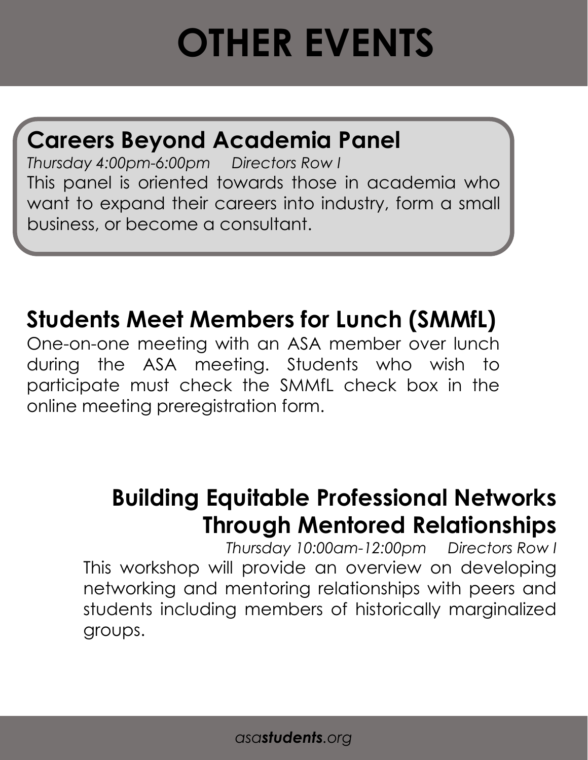# **OTHER EVENTS**

## **Careers Beyond Academia Panel**

*Thursday 4:00pm-6:00pm Directors Row I* This panel is oriented towards those in academia who want to expand their careers into industry, form a small business, or become a consultant.

## **Students Meet Members for Lunch (SMMfL)**

One-on-one meeting with an ASA member over lunch during the ASA meeting. Students who wish to participate must che[ck the SMMfL check b](http://asaedcom.org/smmfl/)ox in the online meeting preregistration form.

# **Building Equitable Professional Networks Through Mentored Relationships**

*Thursday 10:00am-12:00pm Directors Row I* This workshop will provide an overview on developing networking and mentoring relationships with peers and students including members of historically marginalized groups.